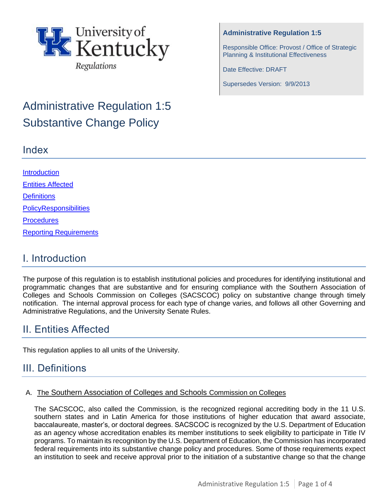

# Administrative Regulation 1:5 Substantive Change Policy

### Index

#### **Administrative Regulation 1:5**

Responsible Office: Provost / Office of Strategic Planning & Institutional Effectiveness

Date Effective: DRAFT

Supersedes Version: 9/9/2013

**Introduction** [Entities Affected](#page-0-0) **[Definitions](#page-0-1)** [PolicyR](#page-1-0)esponsibilities **Procedures** Reporting Requirements

# I. Introduction

The purpose of this regulation is to establish institutional policies and procedures for identifying institutional and programmatic changes that are substantive and for ensuring compliance with the Southern Association of Colleges and Schools Commission on Colleges (SACSCOC) policy on substantive change through timely notification. The internal approval process for each type of change varies, and follows all other Governing and Administrative Regulations, and the University Senate Rules.

# <span id="page-0-0"></span>II. Entities Affected

This regulation applies to all units of the University.

# <span id="page-0-1"></span>III. Definitions

#### A. The Southern Association of Colleges and Schools Commission on Colleges

The SACSCOC, also called the Commission, is the recognized regional accrediting body in the 11 U.S. southern states and in Latin America for those institutions of higher education that award associate, baccalaureate, master's, or doctoral degrees. SACSCOC is recognized by the U.S. Department of Education as an agency whose accreditation enables its member institutions to seek eligibility to participate in Title IV programs. To maintain its recognition by the U.S. Department of Education, the Commission has incorporated federal requirements into its substantive change policy and procedures. Some of those requirements expect an institution to seek and receive approval prior to the initiation of a substantive change so that the change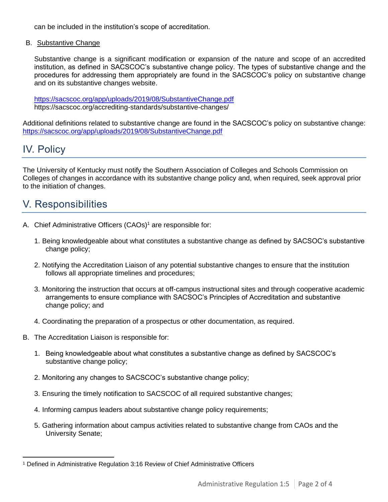can be included in the institution's scope of accreditation.

B. Substantive Change

Substantive change is a significant modification or expansion of the nature and scope of an accredited institution, as defined in SACSCOC's substantive change policy. The types of substantive change and the procedures for addressing them appropriately are found in the SACSCOC's [policy on substantive](http://www.sacscoc.org/pdf/081705/Substantive%20change%20policy.pdf) [change](http://www.sacscoc.org/pdf/081705/Substantive%20change%20policy.pdf)  and on its substantive changes [website.](http://www.sacscoc.org/SubstantiveChange.asp)

<https://sacscoc.org/app/uploads/2019/08/SubstantiveChange.pdf> https://sacscoc.org/accrediting-standards/substantive-changes/

Additional definitions related to substantive change are found in the SACSCOC's [policy on substantive](http://www.sacscoc.org/pdf/081705/Substantive%20change%20policy.pdf) [change:](http://www.sacscoc.org/pdf/081705/Substantive%20change%20policy.pdf)  <https://sacscoc.org/app/uploads/2019/08/SubstantiveChange.pdf>

# <span id="page-1-0"></span>IV. Policy

The University of Kentucky must notify the Southern Association of Colleges and Schools Commission on Colleges of changes in accordance with its substantive change policy and, when required, seek approval prior to the initiation of changes.

# V. Responsibilities

- A. Chief Administrative Officers (CAOs)<sup>1</sup> are responsible for:
	- 1. Being knowledgeable about what constitutes a substantive change as defined by SACSOC's substantive change policy;
	- 2. Notifying the Accreditation Liaison of any potential substantive changes to ensure that the institution follows all appropriate timelines and procedures;
	- 3. Monitoring the instruction that occurs at off-campus instructional sites and through cooperative academic arrangements to ensure compliance with SACSOC's Principles of Accreditation and substantive change policy; and
	- 4. Coordinating the preparation of a prospectus or other documentation, as required.
- B. The Accreditation Liaison is responsible for:
	- 1. Being knowledgeable about what constitutes a substantive change as defined by SACSCOC's substantive change policy;
	- 2. Monitoring any changes to SACSCOC's substantive change policy;
	- 3. Ensuring the timely notification to SACSCOC of all required substantive changes;
	- 4. Informing campus leaders about substantive change policy requirements;
	- 5. Gathering information about campus activities related to substantive change from CAOs and the University Senate;

<sup>1</sup> Defined in Administrative Regulation 3:16 Review of Chief Administrative Officers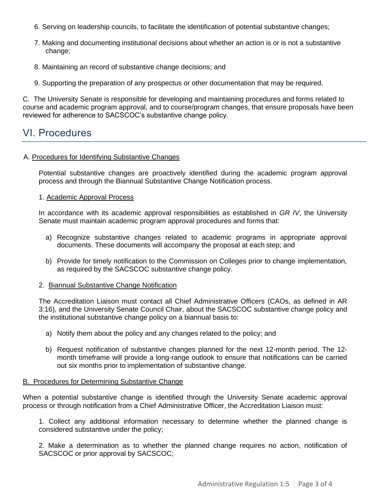- 6. Serving on leadership councils, to facilitate the identification of potential substantive changes;
- 7. Making and documenting institutional decisions about whether an action is or is not a substantive change;
- 8. Maintaining an record of substantive change decisions; and
- 9. Supporting the preparation of any prospectus or other documentation that may be required.

C. The University Senate is responsible for developing and maintaining procedures and forms related to course and academic program approval, and to course/program changes, that ensure proposals have been reviewed for adherence to SACSCOC's substantive change policy.

#### VI. Procedures

#### A. Procedures for Identifying Substantive Changes

Potential substantive changes are proactively identified during the academic program approval process and through the Biannual Substantive Change Notification process.

#### 1. Academic Approval Process

In accordance with its academic approval responsibilities as established in *GR IV*, the University Senate must maintain academic program approval procedures and forms that:

- a) Recognize substantive changes related to academic programs in appropriate approval documents. These documents will accompany the proposal at each step; and
- b) Provide for timely notification to the Commission on Colleges prior to change implementation, as required by the SACSCOC substantive change policy.

#### 2. Biannual Substantive Change Notification

The Accreditation Liaison must contact all Chief Administrative Officers (CAOs, as defined in AR 3:16), and the University Senate Council Chair, about the SACSCOC substantive change policy and the institutional substantive change policy on a biannual basis to:

- a) Notify them about the policy and any changes related to the policy; and
- b) Request notification of substantive changes planned for the next 12-month period. The 12 month timeframe will provide a long-range outlook to ensure that notifications can be carried out six months prior to implementation of substantive change.

#### B. Procedures for Determining Substantive Change

When a potential substantive change is identified through the University Senate academic approval process or through notification from a Chief Administrative Officer, the Accreditation Liaison must:

1. Collect any additional information necessary to determine whether the planned change is considered substantive under the policy;

2. Make a determination as to whether the planned change requires no action, notification of SACSCOC or prior approval by SACSCOC;